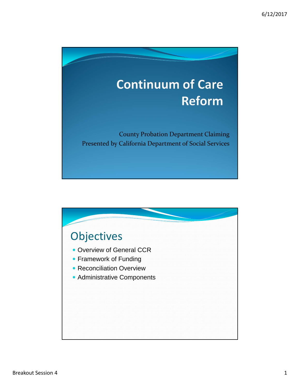

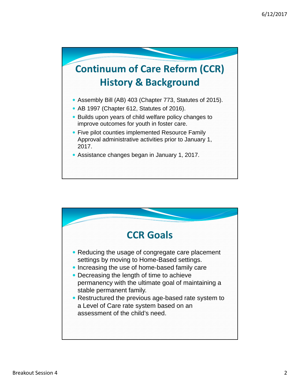

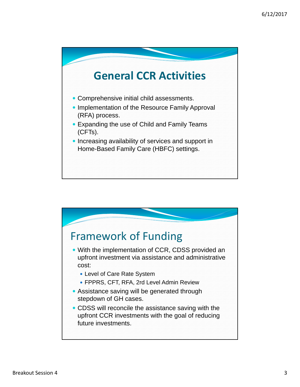

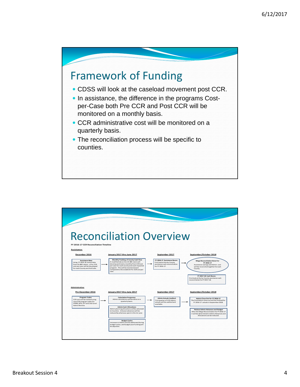

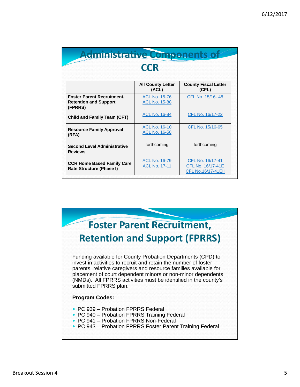| Administrative Components of                                                 | <b>CCR</b>                                   |                                                                    |
|------------------------------------------------------------------------------|----------------------------------------------|--------------------------------------------------------------------|
|                                                                              | <b>All County Letter</b><br>(ACL)            | <b>County Fiscal Letter</b><br>(CFL)                               |
| <b>Foster Parent Recruitment,</b><br><b>Retention and Support</b><br>(FPRRS) | <b>ACL No. 15-76</b><br><b>ACL No. 15-88</b> | CFL No. 15/16-48                                                   |
| <b>Child and Family Team (CFT)</b>                                           | <b>ACL No. 16-84</b>                         | CFL No. 16/17-22                                                   |
| <b>Resource Family Approval</b><br>(RFA)                                     | <b>ACL No. 16-10</b><br><b>ACL No. 16-58</b> | CFL No. 15/16-65                                                   |
| <b>Second Level Administrative</b><br><b>Reviews</b>                         | forthcoming                                  | forthcoming                                                        |
| <b>CCR Home Based Family Care</b><br>Rate Structure (Phase I)                | <b>ACL No. 16-79</b><br><b>ACL No. 17-11</b> | CFL No. 16/17-41<br>CFL No. 16/17-41E<br><b>CFL No.16/17-41EII</b> |

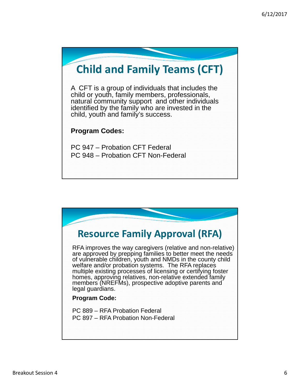## **Child and Family Teams (CFT)**

A CFT is a group of individuals that includes the child or youth, family members, professionals, natural community support and other individuals identified by the family who are invested in the child, youth and family's success.

## **Program Codes:**

PC 947 – Probation CFT Federal PC 948 – Probation CFT Non-Federal

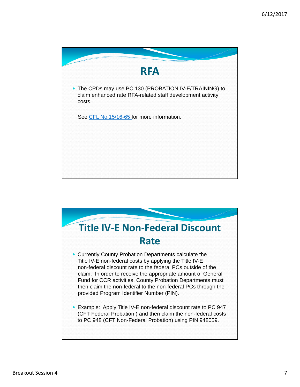

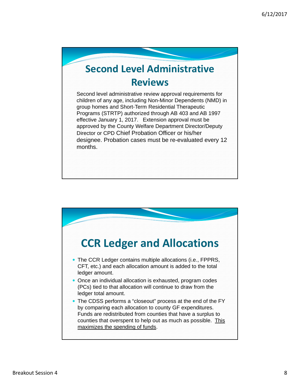## **Second Level Administrative Reviews**

Second level administrative review approval requirements for children of any age, including Non-Minor Dependents (NMD) in group homes and Short-Term Residential Therapeutic Programs (STRTP) authorized through AB 403 and AB 1997 effective January 1, 2017. Extension approval must be approved by the County Welfare Department Director/Deputy Director or CPD Chief Probation Officer or his/her designee. Probation cases must be re-evaluated every 12 months.

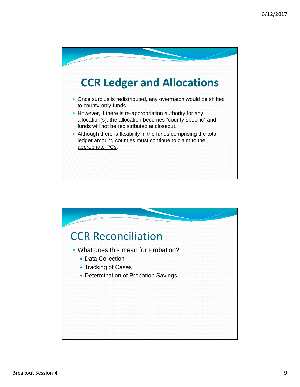

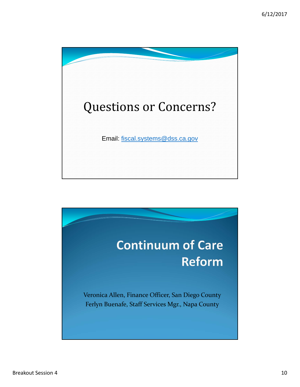

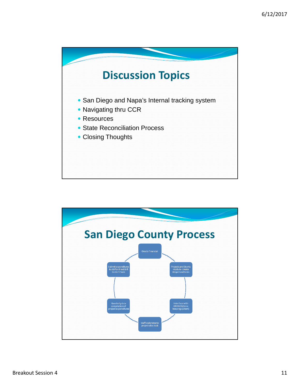

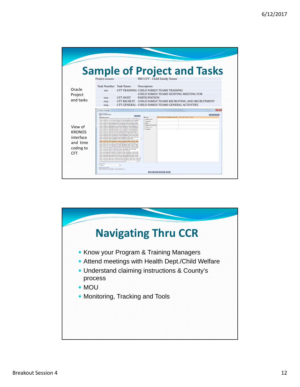

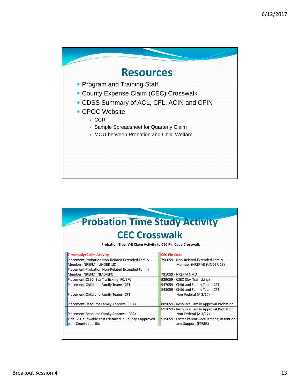

| <b>Probation Time Study Activity</b>                                             |                                                                                       |  |  |  |  |  |
|----------------------------------------------------------------------------------|---------------------------------------------------------------------------------------|--|--|--|--|--|
|                                                                                  | <b>CEC Crosswalk</b><br>Probation Title IV-E Claim Activity to CEC Pin Code Crosswalk |  |  |  |  |  |
| Timestudy/Claim Activity                                                         | <b>CEC Pin Code</b>                                                                   |  |  |  |  |  |
| Placement-Probation Non-Related Extended Family<br>Member (NREFM) (UNDER 18)     | 790059 - Non-Related Extended Family<br>Member (NREFM) (UNDER 18)                     |  |  |  |  |  |
| Placement-Probation Non-Related Extended Family<br>Member (NREFM) NMD/EFC        | 791059 - NREFM NMD                                                                    |  |  |  |  |  |
| Placement-CSEC (Sex Trafficking) FC/EFC                                          | 929059 - CSEC (Sex Trafficking)                                                       |  |  |  |  |  |
| Placement-Child and Family Teams (CFT)                                           | 947059 - Child and Family Team (CFT)                                                  |  |  |  |  |  |
| Placement-Child and Family Teams (CFT)                                           | 948059 - Child and Family Team (CFT)<br>Non-Federal (A 3/17)                          |  |  |  |  |  |
| Placement-Resource Family Approval (RFA)                                         | 889059 - Resource Family Approval Probation                                           |  |  |  |  |  |
| Placement-Resource Family Approval (RFA)                                         | 897059 - Resource Family Approval Probation<br>Non-Federal (A 3/17)                   |  |  |  |  |  |
| Title IV-E allowable costs detailed in County's approved<br>plan-County specific | 939059 - Foster Parent Recruitment, Retention<br>and Support (FPRRS)                  |  |  |  |  |  |
|                                                                                  |                                                                                       |  |  |  |  |  |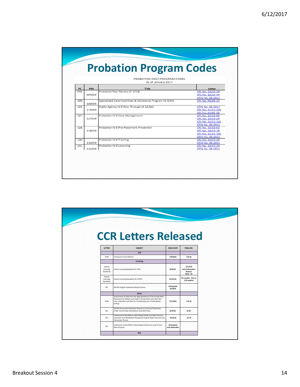|     |        | PROBATION ONLY PROGRAM CODES<br>As of January 2017        |                                                                                      |
|-----|--------|-----------------------------------------------------------|--------------------------------------------------------------------------------------|
| PC  | PIN    | <b>Title</b>                                              | Letter                                                                               |
| 004 | 004059 | Probation Peer Review (C 3/14)                            | CFL No. 14/15-29<br>CFL No. 13/14-44                                                 |
| 100 | 100059 | Specialized Care Incentives & Assistance Program (A 9/93) | <b>CFIN No. 08-2011</b><br>CFL No. 93/94-25                                          |
| 119 | 119069 | Public Agency IV-E Pass Through (A 12/04)                 | <b>CFIN No. 08-2011</b><br>CFL No. 11/12-32E<br>CFL No. 04/05-29                     |
| 127 | 127059 | Probation IV-E Case Management                            | CFL No. 15/16-02<br>CFL No. 14/15-29<br>CFL No. 11/12-32E<br><b>CFIN No. 08-2011</b> |
| 128 | 128059 | Probation IV-E Pre-Placement Prevention                   | CFL No. 15/16-02<br>CFL No. 14/15-29<br>CFL No. 11/12-32E                            |
| 130 | 130059 | Probation IV-E Training                                   | <b>CFIN No. 08-2011</b><br>CFL No. 14/15-29<br><b>CFIN No. 08-2011</b>               |
| 131 | 131059 | Probation IV-E Licensing                                  | CFL No. 14/15-29<br><b>CFIN No. 08-2011</b>                                          |

|                                   | <b>CCR Letters Released</b>                                                                                                                                                                                   |                               |                                                               |
|-----------------------------------|---------------------------------------------------------------------------------------------------------------------------------------------------------------------------------------------------------------|-------------------------------|---------------------------------------------------------------|
| <b>LETTER</b>                     | <b>SUBJECT</b>                                                                                                                                                                                                | <b>ISSUE DATE</b>             | FINAL NO.                                                     |
|                                   | <b>CCR</b>                                                                                                                                                                                                    |                               |                                                               |
| <b>ACIN</b>                       | Continuum of Care Reform                                                                                                                                                                                      | 7/8/2016                      | $1-50-16$                                                     |
|                                   | Licensing                                                                                                                                                                                                     |                               |                                                               |
| Interim<br>Licensing<br>Standards | Interim Licensing Standards for FFAs                                                                                                                                                                          | 8/29/16                       | <b>CCL/CCR</b><br>Joint Information<br>Release<br>$2016 - 01$ |
| Interim<br>Licensing<br>Standards | Interim Licensing Standards for STRTPs                                                                                                                                                                        | 10/14/16                      | No number - link on<br><b>CCR</b> website                     |
| ACL                               | AB 403 Program Statement Review Process                                                                                                                                                                       | Anticipated<br>10/2016        |                                                               |
|                                   | Rates                                                                                                                                                                                                         |                               |                                                               |
| <b>ACIN</b>                       | Assessments to Determine the Appropriateness of The Group Home<br>Placement for Children and Youth in Group Home Care Over One<br>Year in Duration and Plans for Transitioning into a Family-Based<br>Setting | 7/1/2016                      | $1 - 42 - 16$                                                 |
| ACL                               | AB 403 Group Home Extension Request to Continue Placements<br>Under Current Rate Classification Level (RCL) Rate                                                                                              | 8/19/16                       | 16-65                                                         |
| ACL                               | Continuum of Care Reform Home Based Family Care Rate Structure<br>and Short-Term Residential Therapeutic Program Rates Structure and<br><b>Conversion Process</b>                                             | 9/22/16                       | 16-79                                                         |
| ACL                               | Continuum of Care Reform Home Based Family Care Level of Care<br><b>Rate Structure</b>                                                                                                                        | Anticipated<br>early November |                                                               |
|                                   |                                                                                                                                                                                                               |                               |                                                               |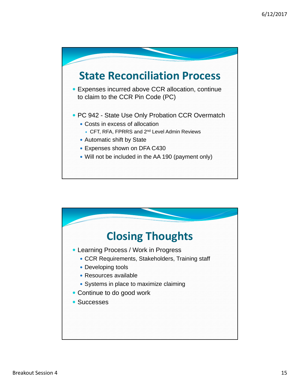